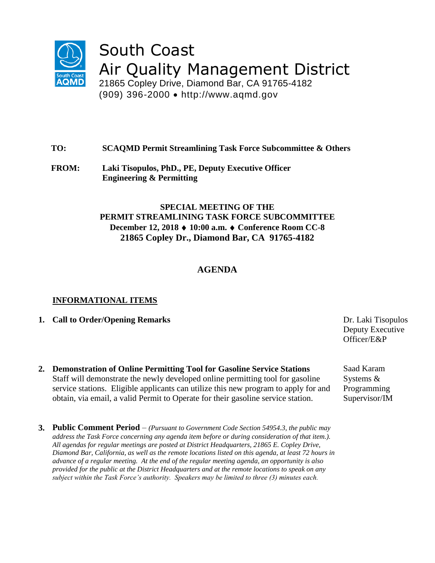

# South Coast Air Quality Management District

21865 Copley Drive, Diamond Bar, CA 91765-4182 (909) 396-2000 http://www.aqmd.gov

## **TO: SCAQMD Permit Streamlining Task Force Subcommittee & Others**

**FROM: Laki Tisopulos, PhD., PE, Deputy Executive Officer Engineering & Permitting**

## **SPECIAL MEETING OF THE PERMIT STREAMLINING TASK FORCE SUBCOMMITTEE December 12, 2018 10:00 a.m. Conference Room CC-8 21865 Copley Dr., Diamond Bar, CA 91765-4182**

# **AGENDA**

### **INFORMATIONAL ITEMS**

- **1. Call to Order/Opening Remarks** Dr. Laki Tisopulos
- **2. Demonstration of Online Permitting Tool for Gasoline Service Stations** Staff will demonstrate the newly developed online permitting tool for gasoline service stations. Eligible applicants can utilize this new program to apply for and obtain, via email, a valid Permit to Operate for their gasoline service station.
- **3. Public Comment Period**  *(Pursuant to Government Code Section 54954.3, the public may address the Task Force concerning any agenda item before or during consideration of that item.). All agendas for regular meetings are posted at District Headquarters, 21865 E. Copley Drive, Diamond Bar, California, as well as the remote locations listed on this agenda, at least 72 hours in advance of a regular meeting. At the end of the regular meeting agenda, an opportunity is also provided for the public at the District Headquarters and at the remote locations to speak on any subject within the Task Force's authority. Speakers may be limited to three (3) minutes each.*

Deputy Executive Officer/E&P

Saad Karam Systems & Programming Supervisor/IM